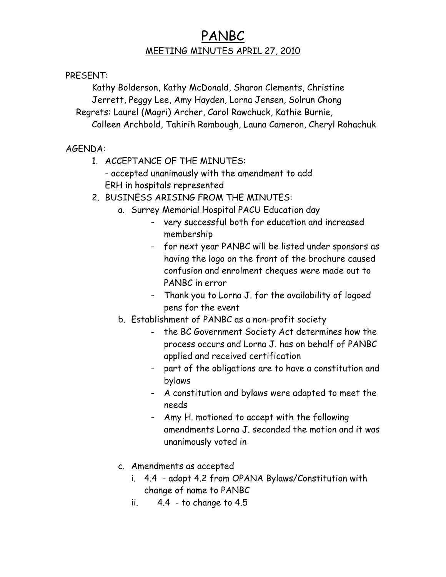## PANBC MEETING MINUTES APRIL 27, 2010

PRESENT:

Kathy Bolderson, Kathy McDonald, Sharon Clements, Christine Jerrett, Peggy Lee, Amy Hayden, Lorna Jensen, Solrun Chong Regrets: Laurel (Magri) Archer, Carol Rawchuck, Kathie Burnie, Colleen Archbold, Tahirih Rombough, Launa Cameron, Cheryl Rohachuk

AGENDA:

- 1. ACCEPTANCE OF THE MINUTES:
	- accepted unanimously with the amendment to add ERH in hospitals represented
- 2. BUSINESS ARISING FROM THE MINUTES:
	- a. Surrey Memorial Hospital PACU Education day
		- very successful both for education and increased membership
		- for next year PANBC will be listed under sponsors as having the logo on the front of the brochure caused confusion and enrolment cheques were made out to PANBC in error
		- Thank you to Lorna J. for the availability of logoed pens for the event
	- b. Establishment of PANBC as a non-profit society
		- the BC Government Society Act determines how the process occurs and Lorna J. has on behalf of PANBC applied and received certification
		- part of the obligations are to have a constitution and bylaws
		- A constitution and bylaws were adapted to meet the needs
		- Amy H. motioned to accept with the following amendments Lorna J. seconded the motion and it was unanimously voted in
	- c. Amendments as accepted
		- i. 4.4 adopt 4.2 from OPANA Bylaws/Constitution with change of name to PANBC
		- ii.  $4.4$  to change to  $4.5$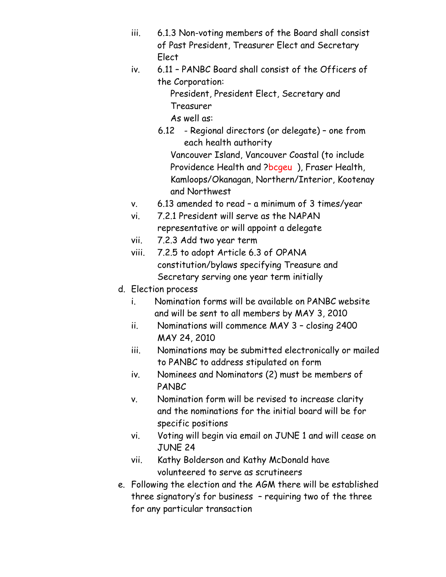- iii. 6.1.3 Non-voting members of the Board shall consist of Past President, Treasurer Elect and Secretary Elect
- iv. 6.11 PANBC Board shall consist of the Officers of the Corporation:

President, President Elect, Secretary and Treasurer

As well as:

- 6.12 Regional directors (or delegate) one from each health authority Vancouver Island, Vancouver Coastal (to include Providence Health and ?bcgeu), Fraser Health, Kamloops/Okanagan, Northern/Interior, Kootenay and Northwest
- v. 6.13 amended to read a minimum of 3 times/year
- vi. 7.2.1 President will serve as the NAPAN representative or will appoint a delegate
- vii. 7.2.3 Add two year term
- viii. 7.2.5 to adopt Article 6.3 of OPANA constitution/bylaws specifying Treasure and Secretary serving one year term initially
- d. Election process
	- i. Nomination forms will be available on PANBC website and will be sent to all members by MAY 3, 2010
	- ii. Nominations will commence MAY 3 closing 2400 MAY 24, 2010
	- iii. Nominations may be submitted electronically or mailed to PANBC to address stipulated on form
	- iv. Nominees and Nominators (2) must be members of PANBC
	- v. Nomination form will be revised to increase clarity and the nominations for the initial board will be for specific positions
	- vi. Voting will begin via email on JUNE 1 and will cease on JUNE 24
	- vii. Kathy Bolderson and Kathy McDonald have volunteered to serve as scrutineers
- e. Following the election and the AGM there will be established three signatory's for business – requiring two of the three for any particular transaction